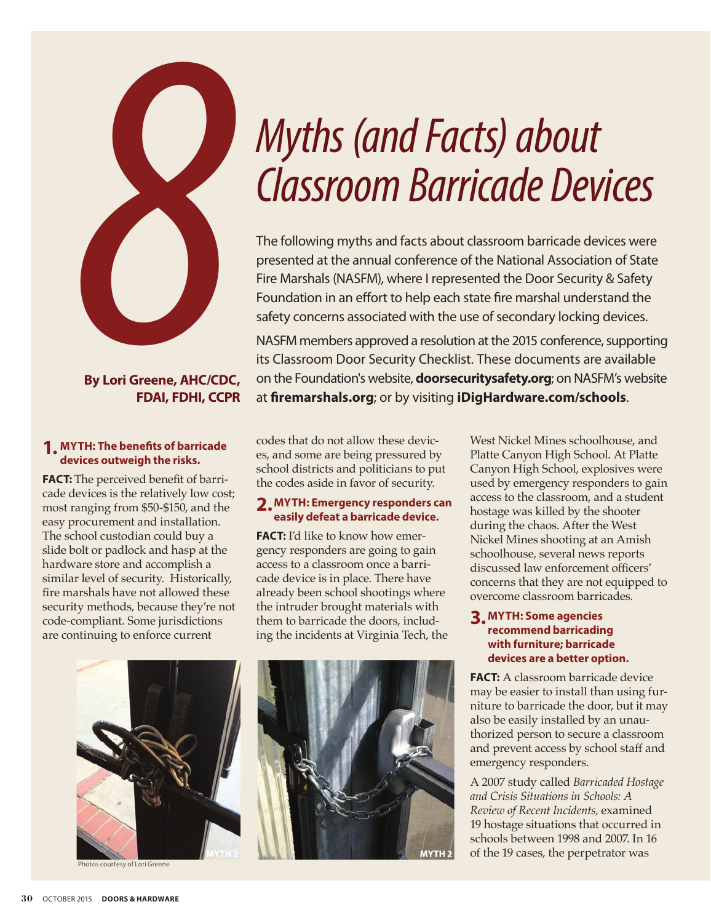

# **By Lori Greene, AHC/CDC, FDAI, FDHI, CCPR**

#### **1. MYTH: The benefits of barricade devices outweigh the risks.**

**FACT:** The perceived benefit of barricade devices is the relatively low cost; most ranging from \$50-\$150, and the easy procurement and installation. The school custodian could buy a slide bolt or padlock and hasp at the hardware store and accomplish a similar level of security. Historically, fire marshals have not allowed these security methods, because they're not code-compliant. Some jurisdictions are continuing to enforce current

# *Myths (and Facts) about*

presented at the annual conference of the National Association of State Fire Marshals (NASFM), where I represented the Door Security & Safety Foundation in an effort to help each state fire marshal understand the safety concerns associated with the use of secondary locking devices.

NASFM members approved a resolution at the 2015 conference, supporting its Classroom Door Security Checklist. These documents are available on the Foundation's website, **doorsecuritysafety.org**; on NASFM's website at **firemarshals.org**; or by visiting **iDigHardware.com/schools**.

codes that do not allow these devices, and some are being pressured by school districts and politicians to put the codes aside in favor of security.

# **2.MYTH: Emergency responders can easily defeat a barricade device.**

**FACT:** I'd like to know how emergency responders are going to gain access to a classroom once a barricade device is in place. There have already been school shootings where the intruder brought materials with them to barricade the doors, including the incidents at Virginia Tech, the



tos courtesy of Lori Greene



West Nickel Mines schoolhouse, and Platte Canyon High School. At Platte Canyon High School, explosives were used by emergency responders to gain access to the classroom, and a student hostage was killed by the shooter during the chaos. After the West Nickel Mines shooting at an Amish schoolhouse, several news reports discussed law enforcement officers' concerns that they are not equipped to overcome classroom barricades.

# **3. MYTH: Some agencies recommend barricading with furniture; barricade devices are a better option.**

**FACT:** A classroom barricade device may be easier to install than using furniture to barricade the door, but it may also be easily installed by an unauthorized person to secure a classroom and prevent access by school staff and emergency responders.

A 2007 study called *Barricaded Hostage and Crisis Situations in Schools: A Review of Recent Incidents,* examined 19 hostage situations that occurred in schools between 1998 and 2007. In 16 of the 19 cases, the perpetrator was